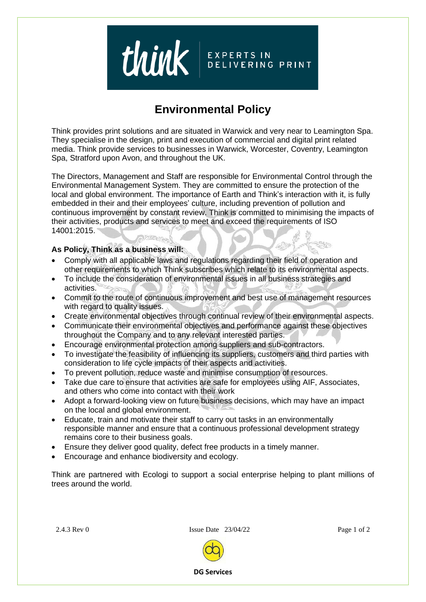

## **Environmental Policy**

Think provides print solutions and are situated in Warwick and very near to Leamington Spa. They specialise in the design, print and execution of commercial and digital print related media. Think provide services to businesses in Warwick, Worcester, Coventry, Leamington Spa, Stratford upon Avon, and throughout the UK.

The Directors, Management and Staff are responsible for Environmental Control through the Environmental Management System. They are committed to ensure the protection of the local and global environment. The importance of Earth and Think's interaction with it, is fully embedded in their and their employees' culture, including prevention of pollution and continuous improvement by constant review. Think is committed to minimising the impacts of their activities, products and services to meet and exceed the requirements of ISO 14001:2015.

## **As Policy, Think as a business will:**

- Comply with all applicable laws and regulations regarding their field of operation and other requirements to which Think subscribes which relate to its environmental aspects.
- To include the consideration of environmental issues in all business strategies and activities.
- Commit to the route of continuous improvement and best use of management resources with regard to quality issues.
- Create environmental objectives through continual review of their environmental aspects.
- Communicate their environmental objectives and performance against these objectives throughout the Company and to any relevant interested parties.
- Encourage environmental protection among suppliers and sub-contractors.
- To investigate the feasibility of influencing its suppliers, customers and third parties with consideration to life cycle impacts of their aspects and activities.
- To prevent pollution, reduce waste and minimise consumption of resources.
- Take due care to ensure that activities are safe for employees using AIF, Associates, and others who come into contact with their work
- Adopt a forward-looking view on future business decisions, which may have an impact on the local and global environment.
- Educate, train and motivate their staff to carry out tasks in an environmentally responsible manner and ensure that a continuous professional development strategy remains core to their business goals.
- Ensure they deliver good quality, defect free products in a timely manner.
- Encourage and enhance biodiversity and ecology.

Think are partnered with Ecologi to support a social enterprise helping to plant millions of trees around the world.

2.4.3 Rev 0 **Issue Date 23/04/22** Page 1 of 2



**DG Services**